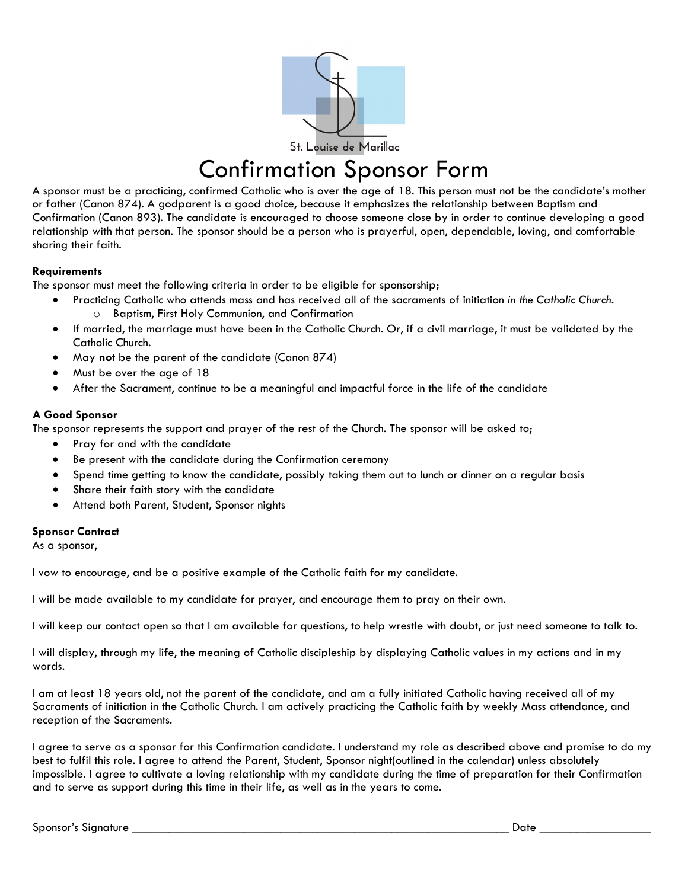

## Confirmation Sponsor Form

A sponsor must be a practicing, confirmed Catholic who is over the age of 18. This person must not be the candidate's mother or father (Canon 874). A godparent is a good choice, because it emphasizes the relationship between Baptism and Confirmation (Canon 893). The candidate is encouraged to choose someone close by in order to continue developing a good relationship with that person. The sponsor should be a person who is prayerful, open, dependable, loving, and comfortable sharing their faith.

## **Requirements**

The sponsor must meet the following criteria in order to be eligible for sponsorship;

- Practicing Catholic who attends mass and has received all of the sacraments of initiation *in the Catholic Church.* o Baptism, First Holy Communion, and Confirmation
- If married, the marriage must have been in the Catholic Church. Or, if a civil marriage, it must be validated by the Catholic Church.
- May **not** be the parent of the candidate (Canon 874)
- Must be over the age of 18
- After the Sacrament, continue to be a meaningful and impactful force in the life of the candidate

## **A Good Sponsor**

The sponsor represents the support and prayer of the rest of the Church. The sponsor will be asked to;

- Pray for and with the candidate
- Be present with the candidate during the Confirmation ceremony
- Spend time getting to know the candidate, possibly taking them out to lunch or dinner on a regular basis
- Share their faith story with the candidate
- Attend both Parent, Student, Sponsor nights

## **Sponsor Contract**

As a sponsor,

I vow to encourage, and be a positive example of the Catholic faith for my candidate.

I will be made available to my candidate for prayer, and encourage them to pray on their own.

I will keep our contact open so that I am available for questions, to help wrestle with doubt, or just need someone to talk to.

I will display, through my life, the meaning of Catholic discipleship by displaying Catholic values in my actions and in my words.

I am at least 18 years old, not the parent of the candidate, and am a fully initiated Catholic having received all of my Sacraments of initiation in the Catholic Church. I am actively practicing the Catholic faith by weekly Mass attendance, and reception of the Sacraments.

I agree to serve as a sponsor for this Confirmation candidate. I understand my role as described above and promise to do my best to fulfil this role. I agree to attend the Parent, Student, Sponsor night(outlined in the calendar) unless absolutely impossible. I agree to cultivate a loving relationship with my candidate during the time of preparation for their Confirmation and to serve as support during this time in their life, as well as in the years to come.